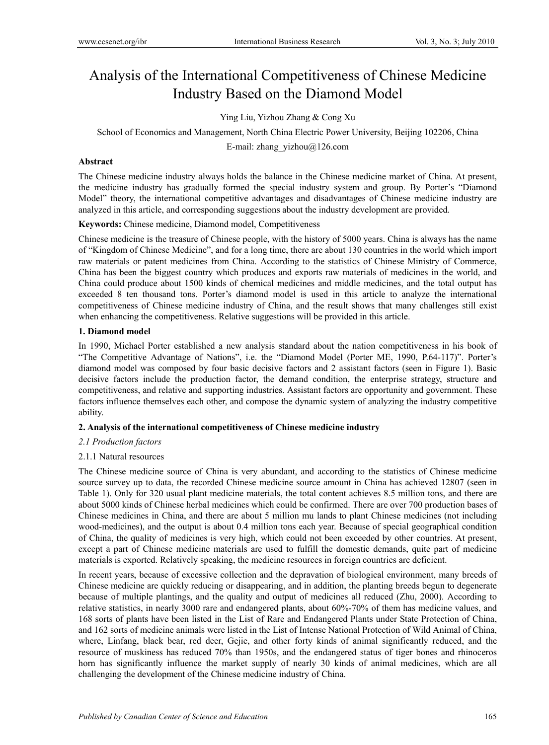# Analysis of the International Competitiveness of Chinese Medicine Industry Based on the Diamond Model

# Ying Liu, Yizhou Zhang & Cong Xu

School of Economics and Management, North China Electric Power University, Beijing 102206, China

E-mail: zhang\_yizhou@126.com

## **Abstract**

The Chinese medicine industry always holds the balance in the Chinese medicine market of China. At present, the medicine industry has gradually formed the special industry system and group. By Porter's "Diamond Model" theory, the international competitive advantages and disadvantages of Chinese medicine industry are analyzed in this article, and corresponding suggestions about the industry development are provided.

**Keywords:** Chinese medicine, Diamond model, Competitiveness

Chinese medicine is the treasure of Chinese people, with the history of 5000 years. China is always has the name of "Kingdom of Chinese Medicine", and for a long time, there are about 130 countries in the world which import raw materials or patent medicines from China. According to the statistics of Chinese Ministry of Commerce, China has been the biggest country which produces and exports raw materials of medicines in the world, and China could produce about 1500 kinds of chemical medicines and middle medicines, and the total output has exceeded 8 ten thousand tons. Porter's diamond model is used in this article to analyze the international competitiveness of Chinese medicine industry of China, and the result shows that many challenges still exist when enhancing the competitiveness. Relative suggestions will be provided in this article.

## **1. Diamond model**

In 1990, Michael Porter established a new analysis standard about the nation competitiveness in his book of "The Competitive Advantage of Nations", i.e. the "Diamond Model (Porter ME, 1990, P.64-117)". Porter's diamond model was composed by four basic decisive factors and 2 assistant factors (seen in Figure 1). Basic decisive factors include the production factor, the demand condition, the enterprise strategy, structure and competitiveness, and relative and supporting industries. Assistant factors are opportunity and government. These factors influence themselves each other, and compose the dynamic system of analyzing the industry competitive ability.

# **2. Analysis of the international competitiveness of Chinese medicine industry**

## *2.1 Production factors*

# 2.1.1 Natural resources

The Chinese medicine source of China is very abundant, and according to the statistics of Chinese medicine source survey up to data, the recorded Chinese medicine source amount in China has achieved 12807 (seen in Table 1). Only for 320 usual plant medicine materials, the total content achieves 8.5 million tons, and there are about 5000 kinds of Chinese herbal medicines which could be confirmed. There are over 700 production bases of Chinese medicines in China, and there are about 5 million mu lands to plant Chinese medicines (not including wood-medicines), and the output is about 0.4 million tons each year. Because of special geographical condition of China, the quality of medicines is very high, which could not been exceeded by other countries. At present, except a part of Chinese medicine materials are used to fulfill the domestic demands, quite part of medicine materials is exported. Relatively speaking, the medicine resources in foreign countries are deficient.

In recent years, because of excessive collection and the depravation of biological environment, many breeds of Chinese medicine are quickly reducing or disappearing, and in addition, the planting breeds begun to degenerate because of multiple plantings, and the quality and output of medicines all reduced (Zhu, 2000). According to relative statistics, in nearly 3000 rare and endangered plants, about 60%-70% of them has medicine values, and 168 sorts of plants have been listed in the List of Rare and Endangered Plants under State Protection of China, and 162 sorts of medicine animals were listed in the List of Intense National Protection of Wild Animal of China, where, Linfang, black bear, red deer, Gejie, and other forty kinds of animal significantly reduced, and the resource of muskiness has reduced 70% than 1950s, and the endangered status of tiger bones and rhinoceros horn has significantly influence the market supply of nearly 30 kinds of animal medicines, which are all challenging the development of the Chinese medicine industry of China.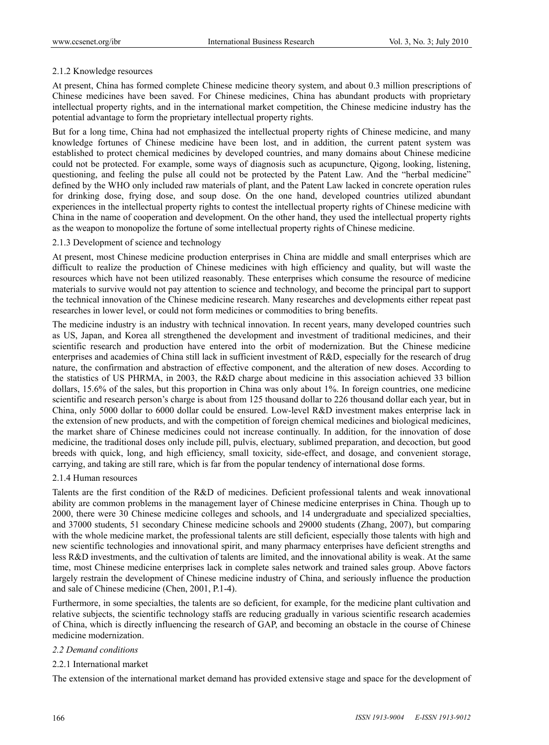#### 2.1.2 Knowledge resources

At present, China has formed complete Chinese medicine theory system, and about 0.3 million prescriptions of Chinese medicines have been saved. For Chinese medicines, China has abundant products with proprietary intellectual property rights, and in the international market competition, the Chinese medicine industry has the potential advantage to form the proprietary intellectual property rights.

But for a long time, China had not emphasized the intellectual property rights of Chinese medicine, and many knowledge fortunes of Chinese medicine have been lost, and in addition, the current patent system was established to protect chemical medicines by developed countries, and many domains about Chinese medicine could not be protected. For example, some ways of diagnosis such as acupuncture, Qigong, looking, listening, questioning, and feeling the pulse all could not be protected by the Patent Law. And the "herbal medicine" defined by the WHO only included raw materials of plant, and the Patent Law lacked in concrete operation rules for drinking dose, frying dose, and soup dose. On the one hand, developed countries utilized abundant experiences in the intellectual property rights to contest the intellectual property rights of Chinese medicine with China in the name of cooperation and development. On the other hand, they used the intellectual property rights as the weapon to monopolize the fortune of some intellectual property rights of Chinese medicine.

#### 2.1.3 Development of science and technology

At present, most Chinese medicine production enterprises in China are middle and small enterprises which are difficult to realize the production of Chinese medicines with high efficiency and quality, but will waste the resources which have not been utilized reasonably. These enterprises which consume the resource of medicine materials to survive would not pay attention to science and technology, and become the principal part to support the technical innovation of the Chinese medicine research. Many researches and developments either repeat past researches in lower level, or could not form medicines or commodities to bring benefits.

The medicine industry is an industry with technical innovation. In recent years, many developed countries such as US, Japan, and Korea all strengthened the development and investment of traditional medicines, and their scientific research and production have entered into the orbit of modernization. But the Chinese medicine enterprises and academies of China still lack in sufficient investment of R&D, especially for the research of drug nature, the confirmation and abstraction of effective component, and the alteration of new doses. According to the statistics of US PHRMA, in 2003, the R&D charge about medicine in this association achieved 33 billion dollars, 15.6% of the sales, but this proportion in China was only about 1%. In foreign countries, one medicine scientific and research person's charge is about from 125 thousand dollar to 226 thousand dollar each year, but in China, only 5000 dollar to 6000 dollar could be ensured. Low-level R&D investment makes enterprise lack in the extension of new products, and with the competition of foreign chemical medicines and biological medicines, the market share of Chinese medicines could not increase continually. In addition, for the innovation of dose medicine, the traditional doses only include pill, pulvis, electuary, sublimed preparation, and decoction, but good breeds with quick, long, and high efficiency, small toxicity, side-effect, and dosage, and convenient storage, carrying, and taking are still rare, which is far from the popular tendency of international dose forms.

#### 2.1.4 Human resources

Talents are the first condition of the R&D of medicines. Deficient professional talents and weak innovational ability are common problems in the management layer of Chinese medicine enterprises in China. Though up to 2000, there were 30 Chinese medicine colleges and schools, and 14 undergraduate and specialized specialties, and 37000 students, 51 secondary Chinese medicine schools and 29000 students (Zhang, 2007), but comparing with the whole medicine market, the professional talents are still deficient, especially those talents with high and new scientific technologies and innovational spirit, and many pharmacy enterprises have deficient strengths and less R&D investments, and the cultivation of talents are limited, and the innovational ability is weak. At the same time, most Chinese medicine enterprises lack in complete sales network and trained sales group. Above factors largely restrain the development of Chinese medicine industry of China, and seriously influence the production and sale of Chinese medicine (Chen, 2001, P.1-4).

Furthermore, in some specialties, the talents are so deficient, for example, for the medicine plant cultivation and relative subjects, the scientific technology staffs are reducing gradually in various scientific research academies of China, which is directly influencing the research of GAP, and becoming an obstacle in the course of Chinese medicine modernization.

## *2.2 Demand conditions*

2.2.1 International market

The extension of the international market demand has provided extensive stage and space for the development of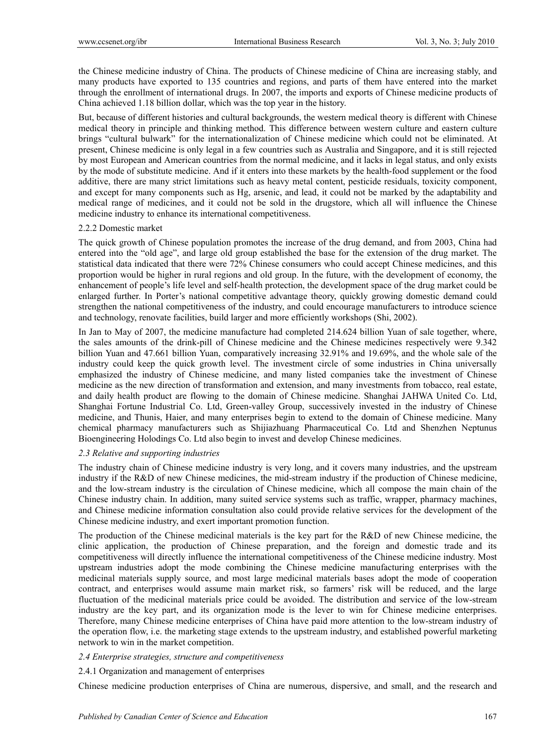the Chinese medicine industry of China. The products of Chinese medicine of China are increasing stably, and many products have exported to 135 countries and regions, and parts of them have entered into the market through the enrollment of international drugs. In 2007, the imports and exports of Chinese medicine products of China achieved 1.18 billion dollar, which was the top year in the history.

But, because of different histories and cultural backgrounds, the western medical theory is different with Chinese medical theory in principle and thinking method. This difference between western culture and eastern culture brings "cultural bulwark" for the internationalization of Chinese medicine which could not be eliminated. At present, Chinese medicine is only legal in a few countries such as Australia and Singapore, and it is still rejected by most European and American countries from the normal medicine, and it lacks in legal status, and only exists by the mode of substitute medicine. And if it enters into these markets by the health-food supplement or the food additive, there are many strict limitations such as heavy metal content, pesticide residuals, toxicity component, and except for many components such as Hg, arsenic, and lead, it could not be marked by the adaptability and medical range of medicines, and it could not be sold in the drugstore, which all will influence the Chinese medicine industry to enhance its international competitiveness.

#### 2.2.2 Domestic market

The quick growth of Chinese population promotes the increase of the drug demand, and from 2003, China had entered into the "old age", and large old group established the base for the extension of the drug market. The statistical data indicated that there were 72% Chinese consumers who could accept Chinese medicines, and this proportion would be higher in rural regions and old group. In the future, with the development of economy, the enhancement of people's life level and self-health protection, the development space of the drug market could be enlarged further. In Porter's national competitive advantage theory, quickly growing domestic demand could strengthen the national competitiveness of the industry, and could encourage manufacturers to introduce science and technology, renovate facilities, build larger and more efficiently workshops (Shi, 2002).

In Jan to May of 2007, the medicine manufacture had completed 214.624 billion Yuan of sale together, where, the sales amounts of the drink-pill of Chinese medicine and the Chinese medicines respectively were 9.342 billion Yuan and 47.661 billion Yuan, comparatively increasing 32.91% and 19.69%, and the whole sale of the industry could keep the quick growth level. The investment circle of some industries in China universally emphasized the industry of Chinese medicine, and many listed companies take the investment of Chinese medicine as the new direction of transformation and extension, and many investments from tobacco, real estate, and daily health product are flowing to the domain of Chinese medicine. Shanghai JAHWA United Co. Ltd, Shanghai Fortune Industrial Co. Ltd, Green-valley Group, successively invested in the industry of Chinese medicine, and Thunis, Haier, and many enterprises begin to extend to the domain of Chinese medicine. Many chemical pharmacy manufacturers such as Shijiazhuang Pharmaceutical Co. Ltd and Shenzhen Neptunus Bioengineering Holodings Co. Ltd also begin to invest and develop Chinese medicines.

## *2.3 Relative and supporting industries*

The industry chain of Chinese medicine industry is very long, and it covers many industries, and the upstream industry if the R&D of new Chinese medicines, the mid-stream industry if the production of Chinese medicine, and the low-stream industry is the circulation of Chinese medicine, which all compose the main chain of the Chinese industry chain. In addition, many suited service systems such as traffic, wrapper, pharmacy machines, and Chinese medicine information consultation also could provide relative services for the development of the Chinese medicine industry, and exert important promotion function.

The production of the Chinese medicinal materials is the key part for the R&D of new Chinese medicine, the clinic application, the production of Chinese preparation, and the foreign and domestic trade and its competitiveness will directly influence the international competitiveness of the Chinese medicine industry. Most upstream industries adopt the mode combining the Chinese medicine manufacturing enterprises with the medicinal materials supply source, and most large medicinal materials bases adopt the mode of cooperation contract, and enterprises would assume main market risk, so farmers' risk will be reduced, and the large fluctuation of the medicinal materials price could be avoided. The distribution and service of the low-stream industry are the key part, and its organization mode is the lever to win for Chinese medicine enterprises. Therefore, many Chinese medicine enterprises of China have paid more attention to the low-stream industry of the operation flow, i.e. the marketing stage extends to the upstream industry, and established powerful marketing network to win in the market competition.

## *2.4 Enterprise strategies, structure and competitiveness*

2.4.1 Organization and management of enterprises

Chinese medicine production enterprises of China are numerous, dispersive, and small, and the research and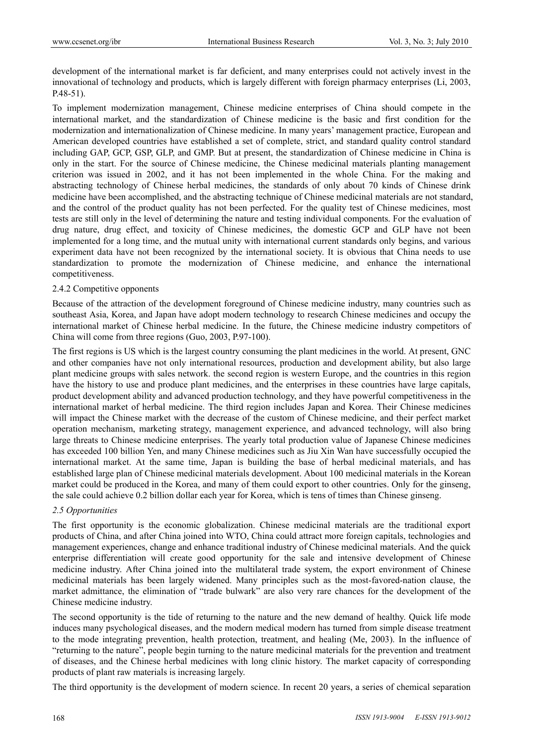development of the international market is far deficient, and many enterprises could not actively invest in the innovational of technology and products, which is largely different with foreign pharmacy enterprises (Li, 2003, P.48-51).

To implement modernization management, Chinese medicine enterprises of China should compete in the international market, and the standardization of Chinese medicine is the basic and first condition for the modernization and internationalization of Chinese medicine. In many years' management practice, European and American developed countries have established a set of complete, strict, and standard quality control standard including GAP, GCP, GSP, GLP, and GMP. But at present, the standardization of Chinese medicine in China is only in the start. For the source of Chinese medicine, the Chinese medicinal materials planting management criterion was issued in 2002, and it has not been implemented in the whole China. For the making and abstracting technology of Chinese herbal medicines, the standards of only about 70 kinds of Chinese drink medicine have been accomplished, and the abstracting technique of Chinese medicinal materials are not standard, and the control of the product quality has not been perfected. For the quality test of Chinese medicines, most tests are still only in the level of determining the nature and testing individual components. For the evaluation of drug nature, drug effect, and toxicity of Chinese medicines, the domestic GCP and GLP have not been implemented for a long time, and the mutual unity with international current standards only begins, and various experiment data have not been recognized by the international society. It is obvious that China needs to use standardization to promote the modernization of Chinese medicine, and enhance the international competitiveness.

## 2.4.2 Competitive opponents

Because of the attraction of the development foreground of Chinese medicine industry, many countries such as southeast Asia, Korea, and Japan have adopt modern technology to research Chinese medicines and occupy the international market of Chinese herbal medicine. In the future, the Chinese medicine industry competitors of China will come from three regions (Guo, 2003, P.97-100).

The first regions is US which is the largest country consuming the plant medicines in the world. At present, GNC and other companies have not only international resources, production and development ability, but also large plant medicine groups with sales network. the second region is western Europe, and the countries in this region have the history to use and produce plant medicines, and the enterprises in these countries have large capitals, product development ability and advanced production technology, and they have powerful competitiveness in the international market of herbal medicine. The third region includes Japan and Korea. Their Chinese medicines will impact the Chinese market with the decrease of the custom of Chinese medicine, and their perfect market operation mechanism, marketing strategy, management experience, and advanced technology, will also bring large threats to Chinese medicine enterprises. The yearly total production value of Japanese Chinese medicines has exceeded 100 billion Yen, and many Chinese medicines such as Jiu Xin Wan have successfully occupied the international market. At the same time, Japan is building the base of herbal medicinal materials, and has established large plan of Chinese medicinal materials development. About 100 medicinal materials in the Korean market could be produced in the Korea, and many of them could export to other countries. Only for the ginseng, the sale could achieve 0.2 billion dollar each year for Korea, which is tens of times than Chinese ginseng.

## *2.5 Opportunities*

The first opportunity is the economic globalization. Chinese medicinal materials are the traditional export products of China, and after China joined into WTO, China could attract more foreign capitals, technologies and management experiences, change and enhance traditional industry of Chinese medicinal materials. And the quick enterprise differentiation will create good opportunity for the sale and intensive development of Chinese medicine industry. After China joined into the multilateral trade system, the export environment of Chinese medicinal materials has been largely widened. Many principles such as the most-favored-nation clause, the market admittance, the elimination of "trade bulwark" are also very rare chances for the development of the Chinese medicine industry.

The second opportunity is the tide of returning to the nature and the new demand of healthy. Quick life mode induces many psychological diseases, and the modern medical modern has turned from simple disease treatment to the mode integrating prevention, health protection, treatment, and healing (Me, 2003). In the influence of "returning to the nature", people begin turning to the nature medicinal materials for the prevention and treatment of diseases, and the Chinese herbal medicines with long clinic history. The market capacity of corresponding products of plant raw materials is increasing largely.

The third opportunity is the development of modern science. In recent 20 years, a series of chemical separation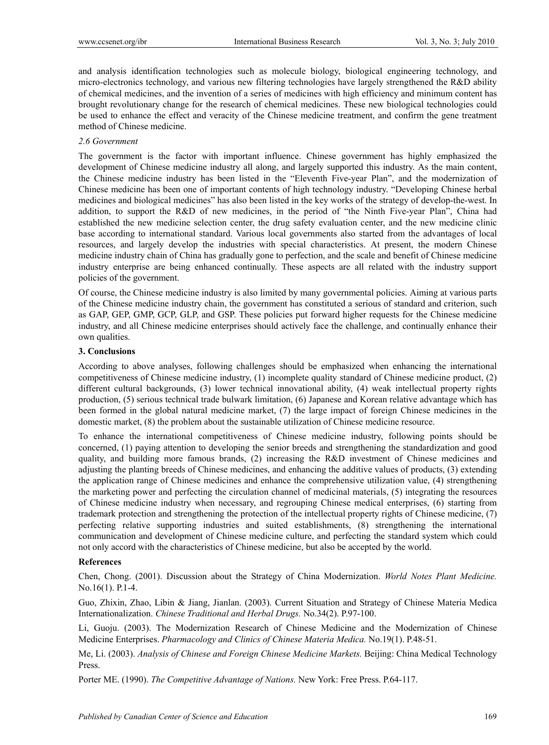and analysis identification technologies such as molecule biology, biological engineering technology, and micro-electronics technology, and various new filtering technologies have largely strengthened the R&D ability of chemical medicines, and the invention of a series of medicines with high efficiency and minimum content has brought revolutionary change for the research of chemical medicines. These new biological technologies could be used to enhance the effect and veracity of the Chinese medicine treatment, and confirm the gene treatment method of Chinese medicine.

## *2.6 Government*

The government is the factor with important influence. Chinese government has highly emphasized the development of Chinese medicine industry all along, and largely supported this industry. As the main content, the Chinese medicine industry has been listed in the "Eleventh Five-year Plan", and the modernization of Chinese medicine has been one of important contents of high technology industry. "Developing Chinese herbal medicines and biological medicines" has also been listed in the key works of the strategy of develop-the-west. In addition, to support the R&D of new medicines, in the period of "the Ninth Five-year Plan", China had established the new medicine selection center, the drug safety evaluation center, and the new medicine clinic base according to international standard. Various local governments also started from the advantages of local resources, and largely develop the industries with special characteristics. At present, the modern Chinese medicine industry chain of China has gradually gone to perfection, and the scale and benefit of Chinese medicine industry enterprise are being enhanced continually. These aspects are all related with the industry support policies of the government.

Of course, the Chinese medicine industry is also limited by many governmental policies. Aiming at various parts of the Chinese medicine industry chain, the government has constituted a serious of standard and criterion, such as GAP, GEP, GMP, GCP, GLP, and GSP. These policies put forward higher requests for the Chinese medicine industry, and all Chinese medicine enterprises should actively face the challenge, and continually enhance their own qualities.

## **3. Conclusions**

According to above analyses, following challenges should be emphasized when enhancing the international competitiveness of Chinese medicine industry, (1) incomplete quality standard of Chinese medicine product, (2) different cultural backgrounds, (3) lower technical innovational ability, (4) weak intellectual property rights production, (5) serious technical trade bulwark limitation, (6) Japanese and Korean relative advantage which has been formed in the global natural medicine market, (7) the large impact of foreign Chinese medicines in the domestic market, (8) the problem about the sustainable utilization of Chinese medicine resource.

To enhance the international competitiveness of Chinese medicine industry, following points should be concerned, (1) paying attention to developing the senior breeds and strengthening the standardization and good quality, and building more famous brands, (2) increasing the R&D investment of Chinese medicines and adjusting the planting breeds of Chinese medicines, and enhancing the additive values of products, (3) extending the application range of Chinese medicines and enhance the comprehensive utilization value, (4) strengthening the marketing power and perfecting the circulation channel of medicinal materials, (5) integrating the resources of Chinese medicine industry when necessary, and regrouping Chinese medical enterprises, (6) starting from trademark protection and strengthening the protection of the intellectual property rights of Chinese medicine, (7) perfecting relative supporting industries and suited establishments, (8) strengthening the international communication and development of Chinese medicine culture, and perfecting the standard system which could not only accord with the characteristics of Chinese medicine, but also be accepted by the world.

## **References**

Chen, Chong. (2001). Discussion about the Strategy of China Modernization. *World Notes Plant Medicine.* No.16(1). P.1-4.

Guo, Zhixin, Zhao, Libin & Jiang, Jianlan. (2003). Current Situation and Strategy of Chinese Materia Medica Internationalization. *Chinese Traditional and Herbal Drugs.* No.34(2). P.97-100.

Li, Guoju. (2003). The Modernization Research of Chinese Medicine and the Modernization of Chinese Medicine Enterprises. *Pharmacology and Clinics of Chinese Materia Medica.* No.19(1). P.48-51.

Me, Li. (2003). *Analysis of Chinese and Foreign Chinese Medicine Markets.* Beijing: China Medical Technology Press.

Porter ME. (1990). *The Competitive Advantage of Nations.* New York: Free Press. P.64-117.